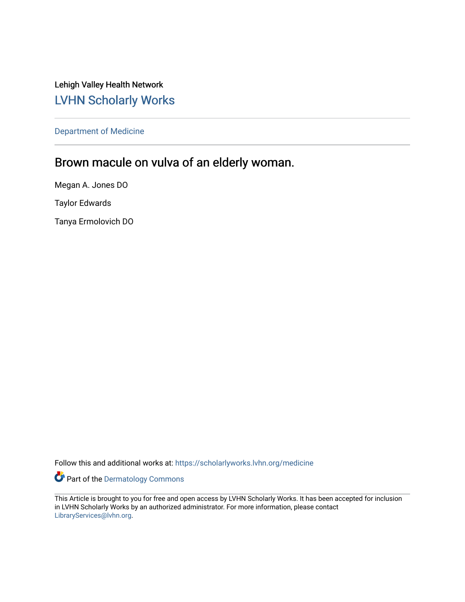Lehigh Valley Health Network [LVHN Scholarly Works](https://scholarlyworks.lvhn.org/)

[Department of Medicine](https://scholarlyworks.lvhn.org/medicine) 

# Brown macule on vulva of an elderly woman.

Megan A. Jones DO Taylor Edwards

Tanya Ermolovich DO

Follow this and additional works at: [https://scholarlyworks.lvhn.org/medicine](https://scholarlyworks.lvhn.org/medicine?utm_source=scholarlyworks.lvhn.org%2Fmedicine%2F1877&utm_medium=PDF&utm_campaign=PDFCoverPages) 

Part of the [Dermatology Commons](http://network.bepress.com/hgg/discipline/684?utm_source=scholarlyworks.lvhn.org%2Fmedicine%2F1877&utm_medium=PDF&utm_campaign=PDFCoverPages) 

This Article is brought to you for free and open access by LVHN Scholarly Works. It has been accepted for inclusion in LVHN Scholarly Works by an authorized administrator. For more information, please contact [LibraryServices@lvhn.org](mailto:LibraryServices@lvhn.org).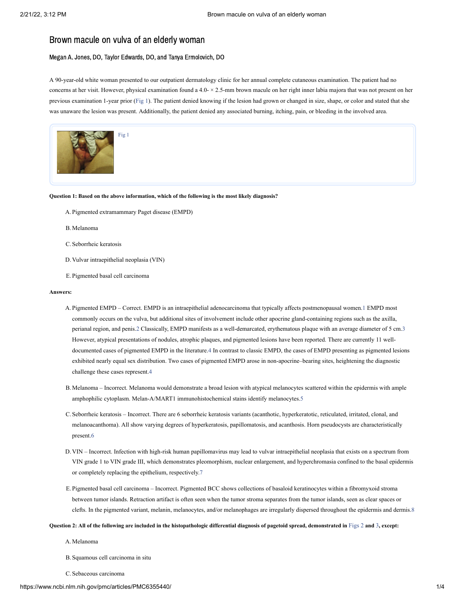# Brown macule on vulva of an elderly woman

## Megan A. Jones, DO, Taylor Edwards, DO, and Tanya Ermolovich, DO

A 90-year-old white woman presented to our outpatient dermatology clinic for her annual complete cutaneous examination. The patient had no concerns at her visit. However, physical examination found a  $4.0 - \times 2.5$ -mm brown macule on her right inner labia majora that was not present on her previous examination 1-year prior ([Fig](https://www.ncbi.nlm.nih.gov/pmc/articles/PMC6355440/figure/fig1/?report=objectonly) 1). The patient denied knowing if the lesion had grown or changed in size, shape, or color and stated that she was unaware the lesion was present. Additionally, the patient denied any associated burning, itching, pain, or bleeding in the involved area.



#### **Question 1: Based on the above information, which of the following is the most likely diagnosis?**

- A. Pigmented extramammary Paget disease (EMPD)
- B. Melanoma
- C. Seborrheic keratosis
- D. Vulvar intraepithelial neoplasia (VIN)
- E. Pigmented basal cell carcinoma

#### **Answers:**

- A. Pigmented EMPD Correct. EMPD is an intraepithelial adenocarcinoma that typically affects postmenopausal women. [1](#page-3-0) EMPD most commonly occurs on the vulva, but additional sites of involvement include other apocrine gland-containing regions such as the axilla, perianal region, and penis.[2](#page-3-1) Classically, EMPD manifests as a well-demarcated, erythematous plaque with an average diameter of 5 cm.[3](#page-3-2) However, atypical presentations of nodules, atrophic plaques, and pigmented lesions have been reported. There are currently 11 welldocumented cases of pigmented EMPD in the literature[.4](#page-3-3) In contrast to classic EMPD, the cases of EMPD presenting as pigmented lesions exhibited nearly equal sex distribution. Two cases of pigmented EMPD arose in non-apocrine–bearing sites, heightening the diagnostic challenge these cases represent[.4](#page-3-3)
- B. Melanoma Incorrect. Melanoma would demonstrate a broad lesion with atypical melanocytes scattered within the epidermis with ample amphophilic cytoplasm. Melan-A/MART1 immunohistochemical stains identify melanocytes.[5](#page-3-4)
- C. Seborrheic keratosis Incorrect. There are 6 seborrheic keratosis variants (acanthotic, hyperkeratotic, reticulated, irritated, clonal, and melanoacanthoma). All show varying degrees of hyperkeratosis, papillomatosis, and acanthosis. Horn pseudocysts are characteristically present[.6](#page-3-5)
- D. VIN Incorrect. Infection with high-risk human papillomavirus may lead to vulvar intraepithelial neoplasia that exists on a spectrum from VIN grade 1 to VIN grade III, which demonstrates pleomorphism, nuclear enlargement, and hyperchromasia confined to the basal epidermis or completely replacing the epithelium, respectively.[7](#page-3-6)
- E. Pigmented basal cell carcinoma Incorrect. Pigmented BCC shows collections of basaloid keratinocytes within a fibromyxoid stroma between tumor islands. Retraction artifact is often seen when the tumor stroma separates from the tumor islands, seen as clear spaces or clefts. In the pigmented variant, melanin, melanocytes, and/or melanophages are irregularly dispersed throughout the epidermis and dermis.[8](#page-4-0)

#### Question 2: All of the following are included in the histopathologic differential diagnosis of pagetoid spread, demonstrated in [Figs](https://www.ncbi.nlm.nih.gov/pmc/articles/PMC6355440/figure/fig2/?report=objectonly) 2 and [3](https://www.ncbi.nlm.nih.gov/pmc/articles/PMC6355440/figure/fig3/?report=objectonly), except:

A. Melanoma

B. Squamous cell carcinoma in situ

C. Sebaceous carcinoma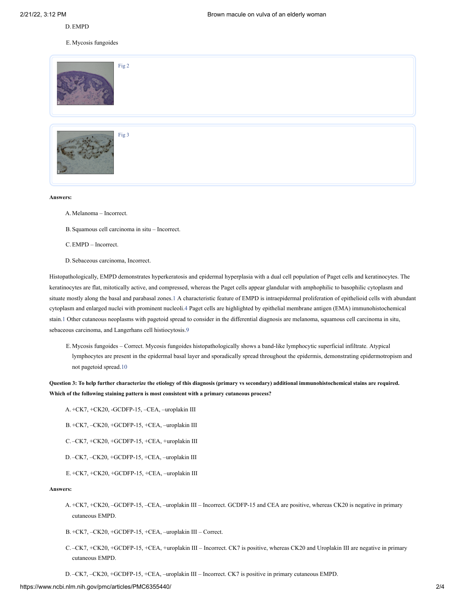### D.EMPD

E. Mycosis fungoides

| Fig 2 |
|-------|
| Fig 3 |

#### **Answers:**

A. Melanoma – Incorrect.

B. Squamous cell carcinoma in situ – Incorrect.

C.EMPD – Incorrect.

D. Sebaceous carcinoma, Incorrect.

Histopathologically, EMPD demonstrates hyperkeratosis and epidermal hyperplasia with a dual cell population of Paget cells and keratinocytes. The keratinocytes are flat, mitotically active, and compressed, whereas the Paget cells appear glandular with amphophilic to basophilic cytoplasm and situate mostly along the basal and parabasal zones.[1](#page-3-0) A characteristic feature of EMPD is intraepidermal proliferation of epithelioid cells with abundant cytoplasm and enlarged nuclei with prominent nucleoli.[4](#page-3-3) Paget cells are highlighted by epithelial membrane antigen (EMA) immunohistochemical stain[.1](#page-3-0) Other cutaneous neoplasms with pagetoid spread to consider in the differential diagnosis are melanoma, squamous cell carcinoma in situ, sebaceous carcinoma, and Langerhans cell histiocytosis[.9](#page-4-1)

E. Mycosis fungoides – Correct. Mycosis fungoides histopathologically shows a band-like lymphocytic superficial infiltrate. Atypical lymphocytes are present in the epidermal basal layer and sporadically spread throughout the epidermis, demonstrating epidermotropism and not pagetoid spread.[10](#page-4-2)

Question 3: To help further characterize the etiology of this diagnosis (primary vs secondary) additional immunohistochemical stains are required. **Which of the following staining pattern is most consistent with a primary cutaneous process?**

A. +CK7, +CK20, -GCDFP-15, –CEA, –uroplakin III

B. +CK7, –CK20, +GCDFP-15, +CEA, –uroplakin III

C. –CK7, +CK20, +GCDFP-15, +CEA, +uroplakin III

- D. –CK7, –CK20, +GCDFP-15, +CEA, –uroplakin III
- E. +CK7, +CK20, +GCDFP-15, +CEA, –uroplakin III

## **Answers:**

+CK7, +CK20, –GCDFP-15, –CEA, –uroplakin III – Incorrect. GCDFP-15 and CEA are positive, whereas CK20 is negative in primary A. cutaneous EMPD.

B. +CK7, –CK20, +GCDFP-15, +CEA, –uroplakin III – Correct.

C.-CK7, +CK20, +GCDFP-15, +CEA, +uroplakin III – Incorrect. CK7 is positive, whereas CK20 and Uroplakin III are negative in primary cutaneous EMPD.

D. –CK7, –CK20, +GCDFP-15, +CEA, –uroplakin III – Incorrect. CK7 is positive in primary cutaneous EMPD.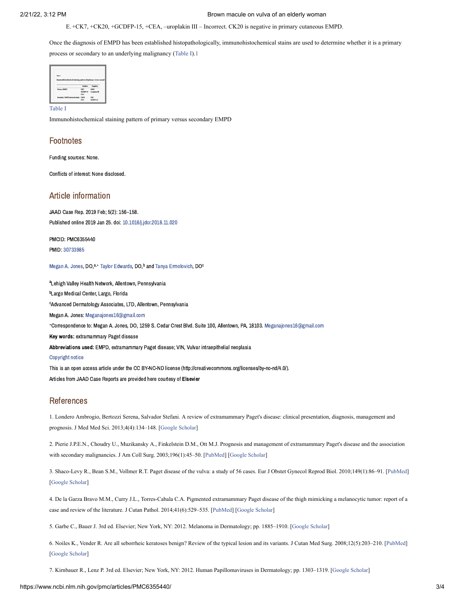2/21/22, 3:12 PM Brown macule on vulva of an elderly woman

E. +CK7, +CK20, +GCDFP-15, +CEA, –uroplakin III – Incorrect. CK20 is negative in primary cutaneous EMPD.

Once the diagnosis of EMPD has been established histopathologically, immunohistochemical stains are used to determine whether it is a primary process or secondary to an underlying malignancy ([Table](https://www.ncbi.nlm.nih.gov/pmc/articles/PMC6355440/table/tbl1/?report=objectonly) I)[.1](#page-3-0)

| <b>Table 3</b>                                               |            |                 |
|--------------------------------------------------------------|------------|-----------------|
| Immunohistochemical staining pattern of primary versus secon |            |                 |
|                                                              |            |                 |
|                                                              | Posts      | æ.              |
| Primary EMPD                                                 | CK7        | CED             |
|                                                              | GCDFP-15   | Unwiskin III    |
|                                                              | <b>CEA</b> |                 |
| Secondary EMPD anorectal origin                              | CK30       | $\alpha$        |
|                                                              | <b>CEA</b> | <b>GCE#P-15</b> |

Immunohistochemical staining pattern of primary versus secondary EMPD

## **Footnotes**

Funding sources: None.

Conflicts of interest: None disclosed.

## Article information

JAAD Case Rep. 2019 Feb; 5(2): 156–158. Published online 2019 Jan 25. doi: [10.1016/j.jdcr.2018.11.020](https://dx.doi.org/10.1016%2Fj.jdcr.2018.11.020)

PMCID: PMC6355440 PMID: [30733985](https://www.ncbi.nlm.nih.gov/pubmed/30733985)

[Megan](https://www.ncbi.nlm.nih.gov/pubmed/?term=Jones%20MA%5BAuthor%5D&cauthor=true&cauthor_uid=30733985) A. Jones, DO, a,\* Taylor [Edwards](https://www.ncbi.nlm.nih.gov/pubmed/?term=Edwards%20T%5BAuthor%5D&cauthor=true&cauthor_uid=30733985), DO, b and Tanya [Ermolovich,](https://www.ncbi.nlm.nih.gov/pubmed/?term=Ermolovich%20T%5BAuthor%5D&cauthor=true&cauthor_uid=30733985) DO<sup>c</sup>

<sup>a</sup>Lehigh Valley Health Network, Allentown, Pennsylvania <sup>b</sup>Largo Medical Center, Largo, Florida <sup>c</sup>Advanced Dermatology Associates, LTD, Allentown, Pennsylvania Megan A. Jones: [Meganajones16@gmail.com](mailto:dev@null) Correspondence to: Megan A. Jones, DO, 1259 S. Cedar Crest Blvd. Suite 100, Allentown, PA, 18103. [Meganajones16@gmail.com](mailto:dev@null) ∗Key words: extramammary Paget disease Abbreviations used: EMPD, extramammary Paget disease; VIN, Vulvar intraepithelial neoplasia [Copyright](https://www.ncbi.nlm.nih.gov/pmc/about/copyright/) notice This is an open access article under the CC BY-NC-ND license (http://creativecommons.org/licenses/by-nc-nd/4.0/). Articles from JAAD Case Reports are provided here courtesy of Elsevier

## References

<span id="page-3-0"></span>1. Londero Ambrogio, Bertozzi Serena, Salvador Stefani. A review of extramammary Paget's disease: clinical presentation, diagnosis, management and prognosis. J Med Med Sci. 2013;4(4):134–148. [\[Google Scholar](https://scholar.google.com/scholar_lookup?journal=J+Med+Med+Sci&title=A+review+of+extramammary+Paget%27s+disease:+clinical+presentation,+diagnosis,+management+and+prognosis&author=Ambrogio+Londero&author=Serena+Bertozzi&author=Stefani+Salvador&volume=4&issue=4&publication_year=2013&pages=134-148&)]

<span id="page-3-1"></span>2. Pierie J.P.E.N., Choudry U., Muzikansky A., Finkelstein D.M., Ott M.J. Prognosis and management of extramammary Paget's disease and the association with secondary malignancies. J Am Coll Surg. 2003;196(1):45–50. [\[PubMed\]](https://www.ncbi.nlm.nih.gov/pubmed/12517548) [[Google Scholar](https://scholar.google.com/scholar_lookup?journal=J+Am+Coll+Surg&title=Prognosis+and+management+of+extramammary+Paget%27s+disease+and+the+association+with+secondary+malignancies&author=J.P.E.N.+Pierie&author=U.+Choudry&author=A.+Muzikansky&author=D.M.+Finkelstein&author=M.J.+Ott&volume=196&issue=1&publication_year=2003&pages=45-50&pmid=12517548&)]

<span id="page-3-2"></span>3. Shaco-Levy R., Bean S.M., Vollmer R.T. Paget disease of the vulva: a study of 56 cases. Eur J Obstet Gynecol Reprod Biol. 2010;149(1):86–91. [\[PubMed](https://www.ncbi.nlm.nih.gov/pubmed/19969410)] [\[Google Scholar](https://scholar.google.com/scholar_lookup?journal=Eur+J+Obstet+Gynecol+Reprod+Biol&title=Paget+disease+of+the+vulva:+a+study+of+56+cases&author=R.+Shaco-Levy&author=S.M.+Bean&author=R.T.+Vollmer&volume=149&issue=1&publication_year=2010&pages=86-91&pmid=19969410&)]

<span id="page-3-3"></span>4. De la Garza Bravo M.M., Curry J.L., Torres-Cabala C.A. Pigmented extramammary Paget disease of the thigh mimicking a melanocytic tumor: report of a case and review of the literature. J Cutan Pathol. 2014;41(6):529–535. [\[PubMed\]](https://www.ncbi.nlm.nih.gov/pubmed/24698435) [\[Google Scholar](https://scholar.google.com/scholar_lookup?journal=J+Cutan+Pathol&title=Pigmented+extramammary+Paget+disease+of+the+thigh+mimicking+a+melanocytic+tumor:+report+of+a+case+and+review+of+the+literature&author=M.M.+De+la+Garza+Bravo&author=J.L.+Curry&author=C.A.+Torres-Cabala&volume=41&issue=6&publication_year=2014&pages=529-535&pmid=24698435&)]

<span id="page-3-4"></span>5. Garbe C., Bauer J. 3rd ed. Elsevier; New York, NY: 2012. Melanoma in Dermatology; pp. 1885–1910. [\[Google Scholar\]](https://scholar.google.com/scholar?q=Garbe+C.+Bauer+J.+Melanoma+in+Dermatology+3rd+ed+2012+Elsevier+New+York,+NY+1885+1910+)

<span id="page-3-5"></span>6. Noiles K., Vender R. Are all seborrheic keratoses benign? Review of the typical lesion and its variants. J Cutan Med Surg. 2008;12(5):203–210. [[PubMed](https://www.ncbi.nlm.nih.gov/pubmed/18845088)] [\[Google Scholar](https://scholar.google.com/scholar_lookup?journal=J+Cutan+Med+Surg&title=Are+all+seborrheic+keratoses+benign?+Review+of+the+typical+lesion+and+its+variants&author=K.+Noiles&author=R.+Vender&volume=12&issue=5&publication_year=2008&pages=203-210&pmid=18845088&)]

<span id="page-3-6"></span>7. Kirnbauer R., Lenz P. 3rd ed. Elsevier; New York, NY: 2012. Human Papillomaviruses in Dermatology; pp. 1303–1319. [[Google Scholar\]](https://scholar.google.com/scholar?q=Kirnbauer+R.+Lenz+P.+Human+Papillomaviruses+in+Dermatology+3rd+ed+2012+Elsevier+New+York,+NY+1303+1319+)